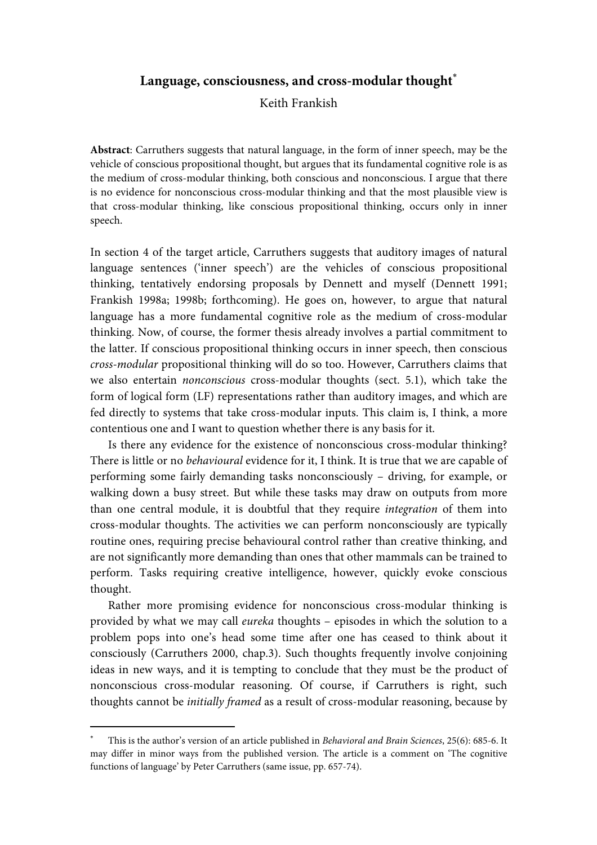## Language, consciousness, and cross-modular thought<sup>∗</sup>

Keith Frankish

**Abstract**: Carruthers suggests that natural language, in the form of inner speech, may be the vehicle of conscious propositional thought, but argues that its fundamental cognitive role is as the medium of cross-modular thinking, both conscious and nonconscious. I argue that there is no evidence for nonconscious cross-modular thinking and that the most plausible view is that cross-modular thinking, like conscious propositional thinking, occurs only in inner speech.

In section 4 of the target article, Carruthers suggests that auditory images of natural language sentences ('inner speech') are the vehicles of conscious propositional thinking, tentatively endorsing proposals by Dennett and myself (Dennett 1991; Frankish 1998a; 1998b; forthcoming). He goes on, however, to argue that natural language has a more fundamental cognitive role as the medium of cross-modular thinking. Now, of course, the former thesis already involves a partial commitment to the latter. If conscious propositional thinking occurs in inner speech, then conscious cross-modular propositional thinking will do so too. However, Carruthers claims that we also entertain nonconscious cross-modular thoughts (sect. 5.1), which take the form of logical form (LF) representations rather than auditory images, and which are fed directly to systems that take cross-modular inputs. This claim is, I think, a more contentious one and I want to question whether there is any basis for it.

 Is there any evidence for the existence of nonconscious cross-modular thinking? There is little or no behavioural evidence for it, I think. It is true that we are capable of performing some fairly demanding tasks nonconsciously – driving, for example, or walking down a busy street. But while these tasks may draw on outputs from more than one central module, it is doubtful that they require integration of them into cross-modular thoughts. The activities we can perform nonconsciously are typically routine ones, requiring precise behavioural control rather than creative thinking, and are not significantly more demanding than ones that other mammals can be trained to perform. Tasks requiring creative intelligence, however, quickly evoke conscious thought.

 Rather more promising evidence for nonconscious cross-modular thinking is provided by what we may call eureka thoughts – episodes in which the solution to a problem pops into one's head some time after one has ceased to think about it consciously (Carruthers 2000, chap.3). Such thoughts frequently involve conjoining ideas in new ways, and it is tempting to conclude that they must be the product of nonconscious cross-modular reasoning. Of course, if Carruthers is right, such thoughts cannot be initially framed as a result of cross-modular reasoning, because by

-

<sup>∗</sup> This is the author's version of an article published in Behavioral and Brain Sciences, 25(6): 685-6. It may differ in minor ways from the published version. The article is a comment on 'The cognitive functions of language' by Peter Carruthers (same issue, pp. 657-74).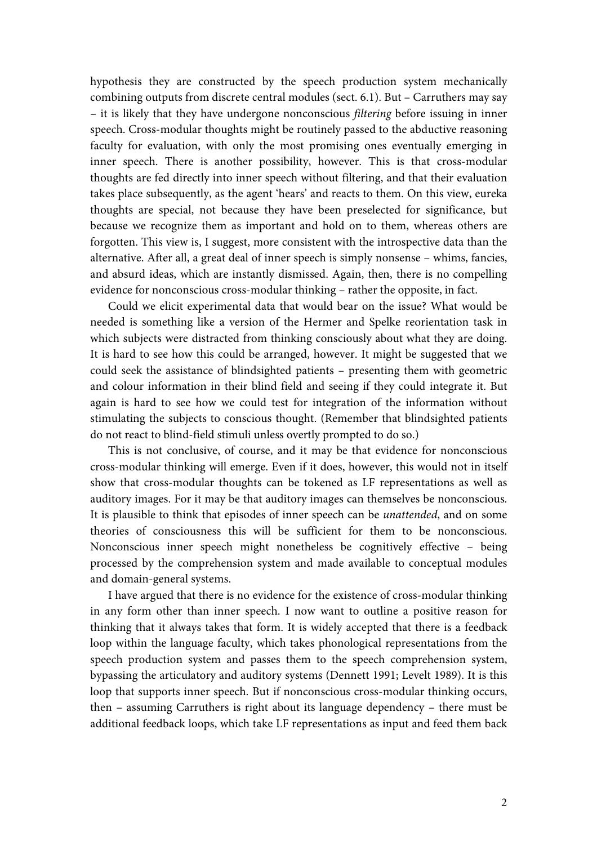hypothesis they are constructed by the speech production system mechanically combining outputs from discrete central modules (sect. 6.1). But – Carruthers may say – it is likely that they have undergone nonconscious filtering before issuing in inner speech. Cross-modular thoughts might be routinely passed to the abductive reasoning faculty for evaluation, with only the most promising ones eventually emerging in inner speech. There is another possibility, however. This is that cross-modular thoughts are fed directly into inner speech without filtering, and that their evaluation takes place subsequently, as the agent 'hears' and reacts to them. On this view, eureka thoughts are special, not because they have been preselected for significance, but because we recognize them as important and hold on to them, whereas others are forgotten. This view is, I suggest, more consistent with the introspective data than the alternative. After all, a great deal of inner speech is simply nonsense – whims, fancies, and absurd ideas, which are instantly dismissed. Again, then, there is no compelling evidence for nonconscious cross-modular thinking – rather the opposite, in fact.

 Could we elicit experimental data that would bear on the issue? What would be needed is something like a version of the Hermer and Spelke reorientation task in which subjects were distracted from thinking consciously about what they are doing. It is hard to see how this could be arranged, however. It might be suggested that we could seek the assistance of blindsighted patients – presenting them with geometric and colour information in their blind field and seeing if they could integrate it. But again is hard to see how we could test for integration of the information without stimulating the subjects to conscious thought. (Remember that blindsighted patients do not react to blind-field stimuli unless overtly prompted to do so.)

 This is not conclusive, of course, and it may be that evidence for nonconscious cross-modular thinking will emerge. Even if it does, however, this would not in itself show that cross-modular thoughts can be tokened as LF representations as well as auditory images. For it may be that auditory images can themselves be nonconscious. It is plausible to think that episodes of inner speech can be unattended, and on some theories of consciousness this will be sufficient for them to be nonconscious. Nonconscious inner speech might nonetheless be cognitively effective – being processed by the comprehension system and made available to conceptual modules and domain-general systems.

 I have argued that there is no evidence for the existence of cross-modular thinking in any form other than inner speech. I now want to outline a positive reason for thinking that it always takes that form. It is widely accepted that there is a feedback loop within the language faculty, which takes phonological representations from the speech production system and passes them to the speech comprehension system, bypassing the articulatory and auditory systems (Dennett 1991; Levelt 1989). It is this loop that supports inner speech. But if nonconscious cross-modular thinking occurs, then – assuming Carruthers is right about its language dependency – there must be additional feedback loops, which take LF representations as input and feed them back